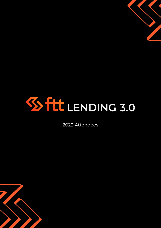

2022 Attendees

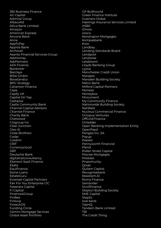365 Business Finance 4G Capital Admiral Group Albacoltd Allica Bank Limited Amazon American Express Ancoria Bank Anna AppToPay Apprila Bank Archover Asante Financial Services Group AskHomey AskPartners AZA Finance Bankinter Barclays Billie GmbH Boostandco BPG Strategy Calverton Finance Cape Capify UK Capital On Tap **Cashplus** Castle Community Bank Channel Capital Advisors Channel Finance Charity Bank Chetwood Citigroup Inc Clear Junction Cleo AI Close Brothers Codat Credimi CRIF Currencycloud **DBT** Deutsche Bank digitalcatconsultancy Element SaaS Finance Ekata **Equifinance** Esme Loans EstateGuru Evrensel Capital Partners Fair For You Enterprise CIC Fasanara Capital FI Capital Finance4Group FinBee Finloup FintechOS Funding Circle Gemini Mortgage Services Global Asset Portfolio

GP Bullhound Green Finance Institute Guerrero Global Hastings Insurance Services Limited **HSBC** IDnow iwoca Kensington Mortgages Kompasbank Kroo Landbay Lending Standards Board Lendpool Lendwise Letsbloom Lloyds Banking Group Lyyna Manchester Credit Union Margeta Marsden Building Society Metro Bank Milford Capital Partners Monese Moneybox Monument My Community Finance Nationwide Building Society NatWest Nucleus Commercial Finance Octopus Ventures OffGrid.Finance Onladder Open Banking Implementation Entity OpenPayd Pangea Inc, SA Payup Peeled Pennyworth Financial Plend Pollen Street Capital Precise Mortgages Prestalo Proportunity **Oover** Quilam Capital Recognisebank Resistant.AI Roma Finance Santander **Scrollfinance** Skipton Building Society SME Capital **StepEx** swk-bank TabHQ Tandem Bank Limited TBI The Credit Thing